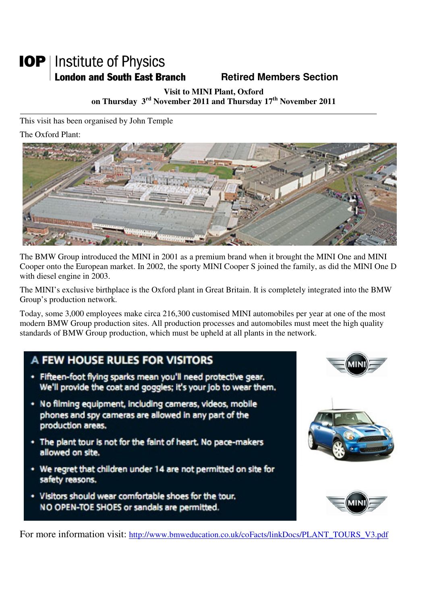# **IOP** | Institute of Physics **London and South East Branch Famely Retired Members Section**

**Visit to MINI Plant, Oxford on Thursday 3rd November 2011 and Thursday 17th November 2011** 

This visit has been organised by John Temple

The Oxford Plant:



The BMW Group introduced the MINI in 2001 as a premium brand when it brought the MINI One and MINI Cooper onto the European market. In 2002, the sporty MINI Cooper S joined the family, as did the MINI One D with diesel engine in 2003.

The MINI's exclusive birthplace is the Oxford plant in Great Britain. It is completely integrated into the BMW Group's production network.

Today, some 3,000 employees make circa 216,300 customised MINI automobiles per year at one of the most modern BMW Group production sites. All production processes and automobiles must meet the high quality standards of BMW Group production, which must be upheld at all plants in the network.

# A FEW HOUSE RULES FOR VISITORS

- · Fifteen-foot flying sparks mean you'll need protective gear. We'll provide the coat and goggles; it's your job to wear them.
- · No filming equipment, including cameras, videos, mobile phones and spy cameras are allowed in any part of the production areas.
- The plant tour is not for the faint of heart. No pace-makers allowed on site.
- \* We regret that children under 14 are not permitted on site for safety reasons.
- · Visitors should wear comfortable shoes for the tour, NO OPEN-TOE SHOES or sandals are permitted.







For more information visit: http://www.bmweducation.co.uk/coFacts/linkDocs/PLANT\_TOURS\_V3.pdf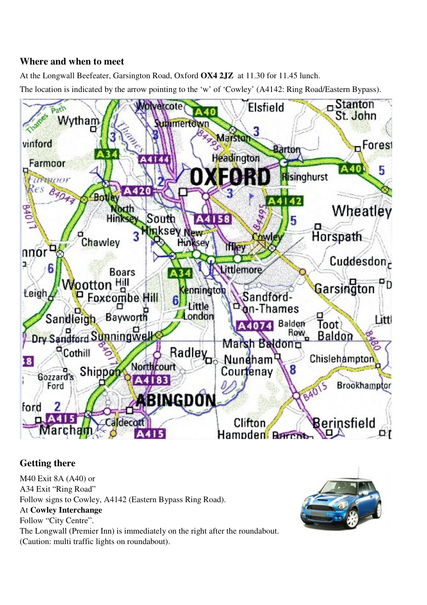## **Where and when to meet**

At the Longwall Beefeater, Garsington Road, Oxford **OX4 2JZ** at 11.30 for 11.45 lunch. The location is indicated by the arrow pointing to the 'w' of 'Cowley' (A4142: Ring Road/Eastern Bypass).



# **Getting there**

M40 Exit 8A (A40) or A34 Exit "Ring Road" Follow signs to Cowley, A4142 (Eastern Bypass Ring Road). At **Cowley Interchange** Follow "City Centre". The Longwall (Premier Inn) is immediately on the right after the roundabout. (Caution: multi traffic lights on roundabout).

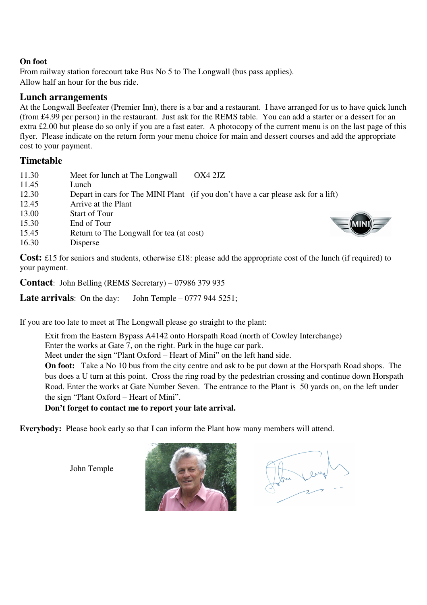#### **On foot**

From railway station forecourt take Bus No 5 to The Longwall (bus pass applies). Allow half an hour for the bus ride.

## **Lunch arrangements**

At the Longwall Beefeater (Premier Inn), there is a bar and a restaurant. I have arranged for us to have quick lunch (from £4.99 per person) in the restaurant. Just ask for the REMS table. You can add a starter or a dessert for an extra £2.00 but please do so only if you are a fast eater. A photocopy of the current menu is on the last page of this flyer. Please indicate on the return form your menu choice for main and dessert courses and add the appropriate cost to your payment.

### **Timetable**

| 11.30 | Meet for lunch at The Longwall<br>OX4 2JZ                                         |
|-------|-----------------------------------------------------------------------------------|
| 11.45 | Lunch                                                                             |
| 12.30 | Depart in cars for The MINI Plant (if you don't have a car please ask for a lift) |
| 12.45 | Arrive at the Plant                                                               |
| 13.00 | <b>Start of Tour</b>                                                              |
| 15.30 | End of Tour                                                                       |
| 15.45 | Return to The Longwall for tea (at cost)                                          |
| 16.30 | Disperse                                                                          |
|       |                                                                                   |

**Cost:** £15 for seniors and students, otherwise £18: please add the appropriate cost of the lunch (if required) to your payment.

**Contact**: John Belling (REMS Secretary) – 07986 379 935

**Late arrivals**: On the day: John Temple – 0777 944 5251;

If you are too late to meet at The Longwall please go straight to the plant:

Exit from the Eastern Bypass A4142 onto Horspath Road (north of Cowley Interchange)

Enter the works at Gate 7, on the right. Park in the huge car park.

Meet under the sign "Plant Oxford – Heart of Mini" on the left hand side.

**On foot:** Take a No 10 bus from the city centre and ask to be put down at the Horspath Road shops. The bus does a U turn at this point. Cross the ring road by the pedestrian crossing and continue down Horspath Road. Enter the works at Gate Number Seven. The entrance to the Plant is 50 yards on, on the left under the sign "Plant Oxford – Heart of Mini".

#### **Don't forget to contact me to report your late arrival.**

**Everybody:** Please book early so that I can inform the Plant how many members will attend.

John Temple